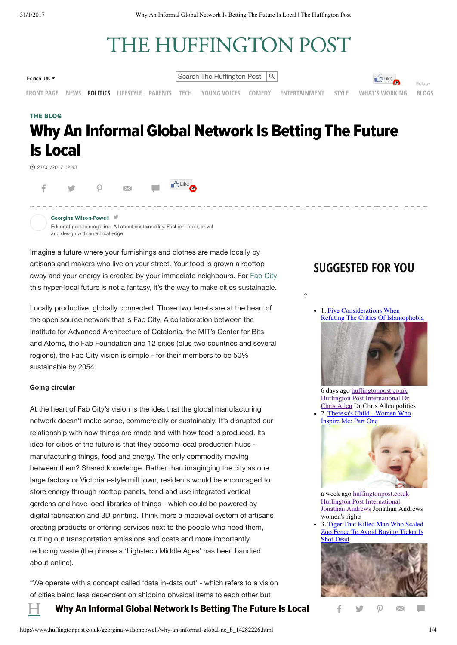# THE HUFFINGTON POST

Edition: UK  $\bullet$  Search The Huffington Post  $\vert \mathcal{Q} \vert$ 



[Follow](https://twitter.com/intent/follow?original_referer=http%3A%2F%2Fwww.huffingtonpost.co.uk%2Fgeorgina-wilsonpowell%2Fwhy-an-informal-global-ne_b_14282226.html&ref_src=twsrc%5Etfw®ion=follow_link&screen_name=HuffPostUK&tw_p=followbutton) **[FRONT PAGE](http://www.huffingtonpost.co.uk/) [NEWS](http://www.huffingtonpost.co.uk/news/news/) [POLITICS](http://www.huffingtonpost.co.uk/politics/) [LIFESTYLE](http://www.huffingtonpost.co.uk/lifestyle/) [PARENTS](http://www.huffingtonpost.co.uk/parents/) [TECH](http://www.huffingtonpost.co.uk/tech/) [YOUNG VOICES](http://www.huffingtonpost.co.uk/young-voices/) [COMEDY](http://www.huffingtonpost.co.uk/comedy/) [ENTERTAINMENT](http://www.huffingtonpost.co.uk/entertainment/) [STYLE](http://www.huffingtonpost.co.uk/style/) [WHAT'S WORKING](http://www.huffingtonpost.co.uk/news/whats-working/) [BLOGS](http://www.huffingtonpost.co.uk/the-blog/)**

# THE BLOG Why An Informal Global Network Is Betting The Future Is Local

 $B$ Like

27/01/2017 12:43



[G](http://www.huffingtonpost.co.uk/author/georgina-wilsonpowell)eorgina [Wilson-Powell](http://www.huffingtonpost.co.uk/author/georgina-wilsonpowell) Editor of pebble magazine. All about sustainability. Fashion, food, travel and design with an ethical edge.

Imagine a future where your furnishings and clothes are made locally by artisans and makers who live on your street. Your food is grown a rooftop away and your energy is created by your immediate neighbours. For **Fab [City](http://fab.city/)** this hyper-local future is not a fantasy, it's the way to make cities sustainable.

Locally productive, globally connected. Those two tenets are at the heart of the open source network that is Fab City. A collaboration between the Institute for Advanced Architecture of Catalonia, the MIT's Center for Bits and Atoms, the Fab Foundation and 12 cities (plus two countries and several regions), the Fab City vision is simple - for their members to be 50% sustainable by 2054.

#### Going circular

At the heart of Fab City's vision is the idea that the global manufacturing network doesn't make sense, commercially or sustainably. It's disrupted our relationship with how things are made and with how food is produced. Its idea for cities of the future is that they become local production hubs manufacturing things, food and energy. The only commodity moving between them? Shared knowledge. Rather than imaginging the city as one large factory or Victorian-style mill town, residents would be encouraged to store energy through rooftop panels, tend and use integrated vertical gardens and have local libraries of things - which could be powered by digital fabrication and 3D printing. Think more a medieval system of artisans creating products or offering services next to the people who need them, cutting out transportation emissions and costs and more importantly reducing waste (the phrase a 'high-tech Middle Ages' has been bandied about online).

"We operate with a concept called 'data in-data out' - which refers to a vision of cities being less dependent on shipping physical items to each other but

# $\prod$  Why An Informal Global Network Is Betting The Future Is Local  $\quad\quad$  final  $\quad$   $\blacksquare$

# **SUGGESTED FOR YOU**

?





6 days ago [huffingtonpost.co.uk](http://www.huffingtonpost.co.uk/) [Huffington Post International Dr](http://rma-api.gravity.com/v1/api/intelligence/w2?sg=72ef14275a4db480ac8010c74ede260c&pl=277&ug=f656870d9a5456a7ccaf6a4dd052fcba&ad=&sp=4082&pfurl=&cburl=&pageViewId%5BwidgetLoaderWindowUrl%5D=http%3A%2F%2Fwww.huffingtonpost.co.uk%2Fgeorgina-wilsonpowell%2Fwhy-an-informal-global-ne_b_14282226.html&pageViewId%5BtimeMillis%5D=1485875158022&pageViewId%5Brand%5D=15400555082132339&sourceUrl=http%3A%2F%2Fwww.huffingtonpost.co.uk%2Fgeorgina-wilsonpowell%2Fwhy-an-informal-global-ne_b_14282226.html&frameUrl=http%3A%2F%2Fwww.huffingtonpost.co.uk%2Fgeorgina-wilsonpowell%2Fwhy-an-informal-global-ne_b_14282226.html&clientTime=1485875158027&ci=grv-personalization-277&aopt=%7B%22prop1%22%3A%22hpo%20%3A%20default%22%2C%22prop2%22%3A%22hpo%20%3A%20%22%2C%22prop14%22%3A%22no%20referrer%22%2C%22prop10%22%3A%22external%20web%20browser%22%2C%22pageURL%22%3A%22http%3A%2F%2Fwww.huffingtonpost.co.uk%2Fgeorgina-wilsonpowell%2Fwhy-an-informal-global-ne_b_14282226.html%22%2C%22prop56%22%3A%22www.huffingtonpost.co.uk%22%2C%22prop23%22%3A%22uk.hpmg%22%2C%22cobrand%22%3A%22HuffPost%22%2C%22glid%22%3A%221.ec390d89b5da4b72a7de3c3f42e35534.4ae0%22%7D&wct=1485875157592) Chris Allen Dr Chris Allen politics 2. [Theresa's Child - Women Who](http://www.huffingtonpost.co.uk/jonathan-andrews/theresas-child-women-who-_b_14164204.html) [Inspire Me: Part One](http://www.huffingtonpost.co.uk/jonathan-andrews/theresas-child-women-who-_b_14164204.html)



a week ago [huffingtonpost.co.uk](http://www.huffingtonpost.co.uk/) [Huffington Post International](http://www.huffingtonpost.co.uk/) [Jonathan Andrews](http://rma-api.gravity.com/v1/api/intelligence/w2?sg=72ef14275a4db480ac8010c74ede260c&pl=277&ug=f656870d9a5456a7ccaf6a4dd052fcba&ad=&sp=4082&pfurl=&cburl=&pageViewId%5BwidgetLoaderWindowUrl%5D=http%3A%2F%2Fwww.huffingtonpost.co.uk%2Fgeorgina-wilsonpowell%2Fwhy-an-informal-global-ne_b_14282226.html&pageViewId%5BtimeMillis%5D=1485875158022&pageViewId%5Brand%5D=15400555082132339&sourceUrl=http%3A%2F%2Fwww.huffingtonpost.co.uk%2Fgeorgina-wilsonpowell%2Fwhy-an-informal-global-ne_b_14282226.html&frameUrl=http%3A%2F%2Fwww.huffingtonpost.co.uk%2Fgeorgina-wilsonpowell%2Fwhy-an-informal-global-ne_b_14282226.html&clientTime=1485875158027&ci=grv-personalization-277&aopt=%7B%22prop1%22%3A%22hpo%20%3A%20default%22%2C%22prop2%22%3A%22hpo%20%3A%20%22%2C%22prop14%22%3A%22no%20referrer%22%2C%22prop10%22%3A%22external%20web%20browser%22%2C%22pageURL%22%3A%22http%3A%2F%2Fwww.huffingtonpost.co.uk%2Fgeorgina-wilsonpowell%2Fwhy-an-informal-global-ne_b_14282226.html%22%2C%22prop56%22%3A%22www.huffingtonpost.co.uk%22%2C%22prop23%22%3A%22uk.hpmg%22%2C%22cobrand%22%3A%22HuffPost%22%2C%22glid%22%3A%221.ec390d89b5da4b72a7de3c3f42e35534.4ae0%22%7D&wct=1485875157592) Jonathan Andrews women's rights

3. Tiger That Killed Man Who Scaled [Zoo Fence To Avoid Buying Ticket Is](http://www.huffingtonpost.co.uk/entry/tiger-kills-man-who-scaled-zoo-fence-to-avoid-buying-ticket_uk_588f1355e4b09b4b8648789a) Shot Dead



 $\mathbf{I}$  day  $\mathbf{V}$  and  $\mathbf{V}$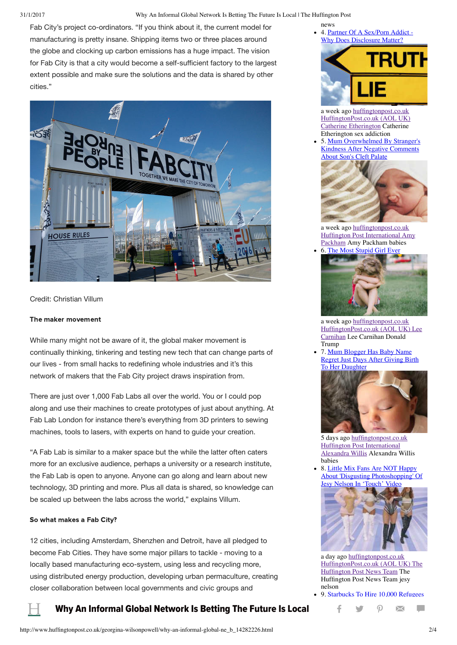31/1/2017 Why An Informal Global Network Is Betting The Future Is Local | The Huffington Post

Fab City's project co-ordinators. "If you think about it, the current model for manufacturing is pretty insane. Shipping items two or three places around the globe and clocking up carbon emissions has a huge impact. The vision for Fab City is that a city would become a self-sufficient factory to the largest extent possible and make sure the solutions and the data is shared by other cities."



Credit: Christian Villum

#### The maker movement

While many might not be aware of it, the global maker movement is continually thinking, tinkering and testing new tech that can change parts of our lives - from small hacks to redefining whole industries and it's this network of makers that the Fab City project draws inspiration from.

There are just over 1,000 Fab Labs all over the world. You or I could pop along and use their machines to create prototypes of just about anything. At Fab Lab London for instance there's everything from 3D printers to sewing machines, tools to lasers, with experts on hand to guide your creation.

"A Fab Lab is similar to a maker space but the while the latter often caters more for an exclusive audience, perhaps a university or a research institute, the Fab Lab is open to anyone. Anyone can go along and learn about new technology, 3D printing and more. Plus all data is shared, so knowledge can be scaled up between the labs across the world," explains Villum.

#### So what makes a Fab City?

12 cities, including Amsterdam, Shenzhen and Detroit, have all pledged to become Fab Cities. They have some major pillars to tackle - moving to a locally based manufacturing eco-system, using less and recycling more, using distributed energy production, developing urban permaculture, creating closer collaboration between local governments and civic groups and

## Why An Informal Global Network Is Betting The Future Is Local  $\qquad \qquad \mathsf{F} \qquad \mathsf{W} \qquad \qquad \blacksquare$

news 4. [Partner Of A Sex/Porn Addict -](http://www.huffingtonpost.co.uk/catherine-etherington/sex-addiction_b_14224028.html) [Why Does Disclosure Matter?](http://www.huffingtonpost.co.uk/catherine-etherington/sex-addiction_b_14224028.html)



a week ago [huffingtonpost.co.uk](http://www.huffingtonpost.co.uk/) [HuffingtonPost.co.uk \(AOL UK\)](http://www.huffingtonpost.co.uk/) [Catherine Etherington](http://rma-api.gravity.com/v1/api/intelligence/w2?sg=72ef14275a4db480ac8010c74ede260c&pl=277&ug=f656870d9a5456a7ccaf6a4dd052fcba&ad=&sp=4082&pfurl=&cburl=&pageViewId%5BwidgetLoaderWindowUrl%5D=http%3A%2F%2Fwww.huffingtonpost.co.uk%2Fgeorgina-wilsonpowell%2Fwhy-an-informal-global-ne_b_14282226.html&pageViewId%5BtimeMillis%5D=1485875158022&pageViewId%5Brand%5D=15400555082132339&sourceUrl=http%3A%2F%2Fwww.huffingtonpost.co.uk%2Fgeorgina-wilsonpowell%2Fwhy-an-informal-global-ne_b_14282226.html&frameUrl=http%3A%2F%2Fwww.huffingtonpost.co.uk%2Fgeorgina-wilsonpowell%2Fwhy-an-informal-global-ne_b_14282226.html&clientTime=1485875158027&ci=grv-personalization-277&aopt=%7B%22prop1%22%3A%22hpo%20%3A%20default%22%2C%22prop2%22%3A%22hpo%20%3A%20%22%2C%22prop14%22%3A%22no%20referrer%22%2C%22prop10%22%3A%22external%20web%20browser%22%2C%22pageURL%22%3A%22http%3A%2F%2Fwww.huffingtonpost.co.uk%2Fgeorgina-wilsonpowell%2Fwhy-an-informal-global-ne_b_14282226.html%22%2C%22prop56%22%3A%22www.huffingtonpost.co.uk%22%2C%22prop23%22%3A%22uk.hpmg%22%2C%22cobrand%22%3A%22HuffPost%22%2C%22glid%22%3A%221.ec390d89b5da4b72a7de3c3f42e35534.4ae0%22%7D&wct=1485875157592) Catherine Etherington sex addiction

5. Mum Overwhelmed By Stranger's [Kindness After Negative Comments](http://www.huffingtonpost.co.uk/entry/boy-cleft-palate-random-act-of-kindness_uk_5880c89fe4b0025110a750fa) [About Son](http://www.huffingtonpost.co.uk/entry/boy-cleft-palate-random-act-of-kindness_uk_5880c89fe4b0025110a750fa)'[s Cleft Palate](http://www.huffingtonpost.co.uk/entry/boy-cleft-palate-random-act-of-kindness_uk_5880c89fe4b0025110a750fa)



a week ago [huffingtonpost.co.uk](http://www.huffingtonpost.co.uk/) [Huffington Post International](http://www.huffingtonpost.co.uk/) [Amy](http://rma-api.gravity.com/v1/api/intelligence/w2?sg=72ef14275a4db480ac8010c74ede260c&pl=277&ug=f656870d9a5456a7ccaf6a4dd052fcba&ad=&sp=4082&pfurl=&cburl=&pageViewId%5BwidgetLoaderWindowUrl%5D=http%3A%2F%2Fwww.huffingtonpost.co.uk%2Fgeorgina-wilsonpowell%2Fwhy-an-informal-global-ne_b_14282226.html&pageViewId%5BtimeMillis%5D=1485875158022&pageViewId%5Brand%5D=15400555082132339&sourceUrl=http%3A%2F%2Fwww.huffingtonpost.co.uk%2Fgeorgina-wilsonpowell%2Fwhy-an-informal-global-ne_b_14282226.html&frameUrl=http%3A%2F%2Fwww.huffingtonpost.co.uk%2Fgeorgina-wilsonpowell%2Fwhy-an-informal-global-ne_b_14282226.html&clientTime=1485875158027&ci=grv-personalization-277&aopt=%7B%22prop1%22%3A%22hpo%20%3A%20default%22%2C%22prop2%22%3A%22hpo%20%3A%20%22%2C%22prop14%22%3A%22no%20referrer%22%2C%22prop10%22%3A%22external%20web%20browser%22%2C%22pageURL%22%3A%22http%3A%2F%2Fwww.huffingtonpost.co.uk%2Fgeorgina-wilsonpowell%2Fwhy-an-informal-global-ne_b_14282226.html%22%2C%22prop56%22%3A%22www.huffingtonpost.co.uk%22%2C%22prop23%22%3A%22uk.hpmg%22%2C%22cobrand%22%3A%22HuffPost%22%2C%22glid%22%3A%221.ec390d89b5da4b72a7de3c3f42e35534.4ae0%22%7D&wct=1485875157592) Packham Amy Packham babies 6. [The Most Stupid Girl Ever](http://www.huffingtonpost.co.uk/lee-carnihan/womens-inequality-is-an-i_b_14343828.html)



a week ago [huffingtonpost.co.uk](http://www.huffingtonpost.co.uk/) [HuffingtonPost.co.uk \(AOL UK\) Lee](http://rma-api.gravity.com/v1/api/intelligence/w2?sg=72ef14275a4db480ac8010c74ede260c&pl=277&ug=f656870d9a5456a7ccaf6a4dd052fcba&ad=&sp=4082&pfurl=&cburl=&pageViewId%5BwidgetLoaderWindowUrl%5D=http%3A%2F%2Fwww.huffingtonpost.co.uk%2Fgeorgina-wilsonpowell%2Fwhy-an-informal-global-ne_b_14282226.html&pageViewId%5BtimeMillis%5D=1485875158022&pageViewId%5Brand%5D=15400555082132339&sourceUrl=http%3A%2F%2Fwww.huffingtonpost.co.uk%2Fgeorgina-wilsonpowell%2Fwhy-an-informal-global-ne_b_14282226.html&frameUrl=http%3A%2F%2Fwww.huffingtonpost.co.uk%2Fgeorgina-wilsonpowell%2Fwhy-an-informal-global-ne_b_14282226.html&clientTime=1485875158027&ci=grv-personalization-277&aopt=%7B%22prop1%22%3A%22hpo%20%3A%20default%22%2C%22prop2%22%3A%22hpo%20%3A%20%22%2C%22prop14%22%3A%22no%20referrer%22%2C%22prop10%22%3A%22external%20web%20browser%22%2C%22pageURL%22%3A%22http%3A%2F%2Fwww.huffingtonpost.co.uk%2Fgeorgina-wilsonpowell%2Fwhy-an-informal-global-ne_b_14282226.html%22%2C%22prop56%22%3A%22www.huffingtonpost.co.uk%22%2C%22prop23%22%3A%22uk.hpmg%22%2C%22cobrand%22%3A%22HuffPost%22%2C%22glid%22%3A%221.ec390d89b5da4b72a7de3c3f42e35534.4ae0%22%7D&wct=1485875157592) Carnihan Lee Carnihan Donald Trump

7. Mum Blogger Has Baby Name [Regret Just Days After Giving Birth](http://www.huffingtonpost.co.uk/entry/mum-blogger-baby-name-regret_uk_587e2660e4b05f88cb56b5be) To Her Daughter



5 days ago [huffingtonpost.co.uk](http://www.huffingtonpost.co.uk/) [Huffington Post International](http://www.huffingtonpost.co.uk/) [Alexandra Willis](http://rma-api.gravity.com/v1/api/intelligence/w2?sg=72ef14275a4db480ac8010c74ede260c&pl=277&ug=f656870d9a5456a7ccaf6a4dd052fcba&ad=&sp=4082&pfurl=&cburl=&pageViewId%5BwidgetLoaderWindowUrl%5D=http%3A%2F%2Fwww.huffingtonpost.co.uk%2Fgeorgina-wilsonpowell%2Fwhy-an-informal-global-ne_b_14282226.html&pageViewId%5BtimeMillis%5D=1485875158022&pageViewId%5Brand%5D=15400555082132339&sourceUrl=http%3A%2F%2Fwww.huffingtonpost.co.uk%2Fgeorgina-wilsonpowell%2Fwhy-an-informal-global-ne_b_14282226.html&frameUrl=http%3A%2F%2Fwww.huffingtonpost.co.uk%2Fgeorgina-wilsonpowell%2Fwhy-an-informal-global-ne_b_14282226.html&clientTime=1485875158027&ci=grv-personalization-277&aopt=%7B%22prop1%22%3A%22hpo%20%3A%20default%22%2C%22prop2%22%3A%22hpo%20%3A%20%22%2C%22prop14%22%3A%22no%20referrer%22%2C%22prop10%22%3A%22external%20web%20browser%22%2C%22pageURL%22%3A%22http%3A%2F%2Fwww.huffingtonpost.co.uk%2Fgeorgina-wilsonpowell%2Fwhy-an-informal-global-ne_b_14282226.html%22%2C%22prop56%22%3A%22www.huffingtonpost.co.uk%22%2C%22prop23%22%3A%22uk.hpmg%22%2C%22cobrand%22%3A%22HuffPost%22%2C%22glid%22%3A%221.ec390d89b5da4b72a7de3c3f42e35534.4ae0%22%7D&wct=1485875157592) Alexandra Willis babies

8. Little Mix Fans Are NOT Happy [About 'Disgusting Photoshopping' Of](http://www.huffingtonpost.co.uk/entry/little-mix-touch-video-photoshopping-jesy-nelson-pictures_uk_588f1da8e4b077309837e893) Jesy Nelson In 'Touch' Video



a day ago [huffingtonpost.co.uk](http://www.huffingtonpost.co.uk/) [HuffingtonPost.co.uk \(AOL UK\) The](http://rma-api.gravity.com/v1/api/intelligence/w2?sg=72ef14275a4db480ac8010c74ede260c&pl=277&ug=f656870d9a5456a7ccaf6a4dd052fcba&ad=&sp=4082&pfurl=&cburl=&pageViewId%5BwidgetLoaderWindowUrl%5D=http%3A%2F%2Fwww.huffingtonpost.co.uk%2Fgeorgina-wilsonpowell%2Fwhy-an-informal-global-ne_b_14282226.html&pageViewId%5BtimeMillis%5D=1485875158022&pageViewId%5Brand%5D=15400555082132339&sourceUrl=http%3A%2F%2Fwww.huffingtonpost.co.uk%2Fgeorgina-wilsonpowell%2Fwhy-an-informal-global-ne_b_14282226.html&frameUrl=http%3A%2F%2Fwww.huffingtonpost.co.uk%2Fgeorgina-wilsonpowell%2Fwhy-an-informal-global-ne_b_14282226.html&clientTime=1485875158027&ci=grv-personalization-277&aopt=%7B%22prop1%22%3A%22hpo%20%3A%20default%22%2C%22prop2%22%3A%22hpo%20%3A%20%22%2C%22prop14%22%3A%22no%20referrer%22%2C%22prop10%22%3A%22external%20web%20browser%22%2C%22pageURL%22%3A%22http%3A%2F%2Fwww.huffingtonpost.co.uk%2Fgeorgina-wilsonpowell%2Fwhy-an-informal-global-ne_b_14282226.html%22%2C%22prop56%22%3A%22www.huffingtonpost.co.uk%22%2C%22prop23%22%3A%22uk.hpmg%22%2C%22cobrand%22%3A%22HuffPost%22%2C%22glid%22%3A%221.ec390d89b5da4b72a7de3c3f42e35534.4ae0%22%7D&wct=1485875157592) Huffington Post News Team The Huffington Post News Team jesy nelson

9. Starbucks To Hire 10,000 Refugees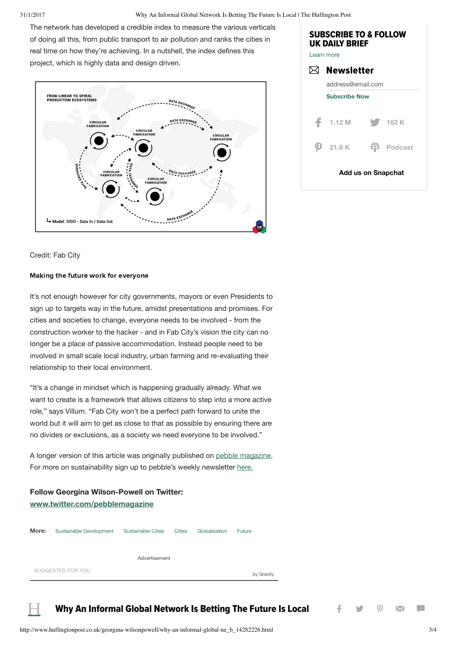31/1/2017 Why An Informal Global Network Is Betting The Future Is Local | The Huffington Post

The network has developed a credible index to measure the various verticals of doing all this, from public transport to air pollution and ranks the cities in real time on how they're achieving. In a nutshell, the index defines this project, which is highly data and design driven.





#### Credit: Fab City

#### Making the future work for everyone

It's not enough however for city governments, mayors or even Presidents to sign up to targets way in the future, amidst presentations and promises. For cities and societies to change, everyone needs to be involved - from the construction worker to the hacker - and in Fab City's vision the city can no longer be a place of passive accommodation. Instead people need to be involved in small scale local industry, urban farming and re-evaluating their relationship to their local environment.

"It's a change in mindset which is happening gradually already. What we want to create is a framework that allows citizens to step into a more active role," says Villum. "Fab City won't be a perfect path forward to unite the world but it will aim to get as close to that as possible by ensuring there are no divides or exclusions, as a society we need everyone to be involved."

A longer version of this article was originally published on pebble [magazine](http://www.pebblemag.com/). For more on sustainability sign up to pebble's weekly newsletter [here.](http://www.pebblemag.com/sign-up)

### **Follow Georgina Wilson-Powell on Twitter: [www.twitter.com/pebblemagazine](http://www.twitter.com/pebblemagazine)**



#### Why An Informal Global Network Is Betting The Future Is Local  $\begin{array}{ccc} \uparrow & \searrow & \oslash \end{array}$